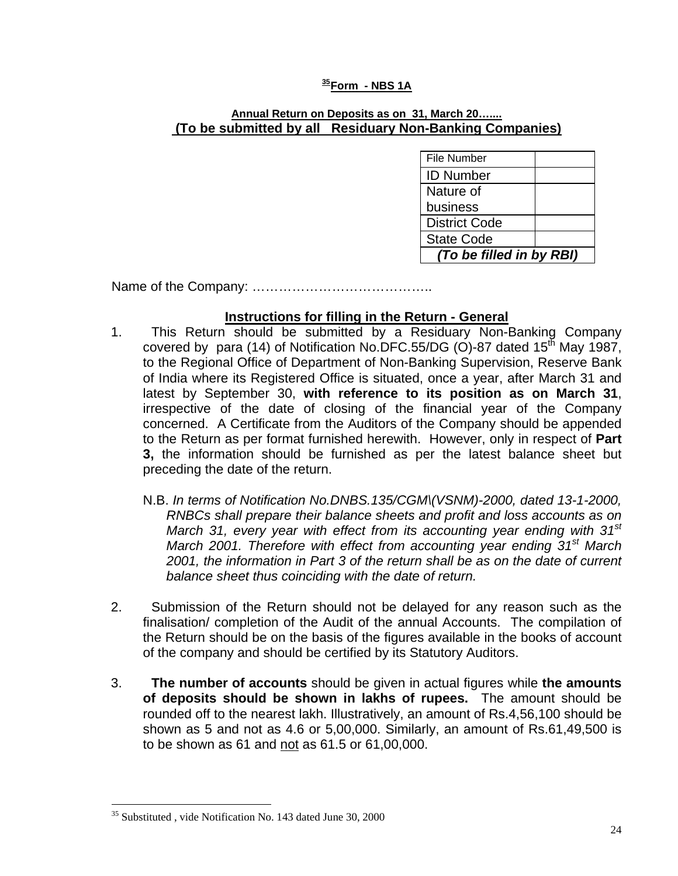### **[35](#page-0-0)Form - NBS 1A**

#### **Annual Return on Deposits as on 31, March 20….... (To be submitted by all Residuary Non-Banking Companies)**

| File Number              |  |  |  |  |  |
|--------------------------|--|--|--|--|--|
| <b>ID Number</b>         |  |  |  |  |  |
| Nature of                |  |  |  |  |  |
| business                 |  |  |  |  |  |
| <b>District Code</b>     |  |  |  |  |  |
| <b>State Code</b>        |  |  |  |  |  |
| (To be filled in by RBI) |  |  |  |  |  |

Name of the Company: …………………………………..

### **Instructions for filling in the Return - General**

- 1. This Return should be submitted by a Residuary Non-Banking Company covered by para (14) of Notification No.DFC.55/DG (O)-87 dated  $15<sup>th</sup>$  May 1987, to the Regional Office of Department of Non-Banking Supervision, Reserve Bank of India where its Registered Office is situated, once a year, after March 31 and latest by September 30, **with reference to its position as on March 31**, irrespective of the date of closing of the financial year of the Company concerned. A Certificate from the Auditors of the Company should be appended to the Return as per format furnished herewith. However, only in respect of **Part 3,** the information should be furnished as per the latest balance sheet but preceding the date of the return.
	- N.B. *In terms of Notification No.DNBS.135/CGM\(VSNM)-2000, dated 13-1-2000, RNBCs shall prepare their balance sheets and profit and loss accounts as on March 31, every year with effect from its accounting year ending with 31st March 2001. Therefore with effect from accounting year ending 31st March 2001, the information in Part 3 of the return shall be as on the date of current balance sheet thus coinciding with the date of return.*
- 2. Submission of the Return should not be delayed for any reason such as the finalisation/ completion of the Audit of the annual Accounts. The compilation of the Return should be on the basis of the figures available in the books of account of the company and should be certified by its Statutory Auditors.
- 3. **The number of accounts** should be given in actual figures while **the amounts of deposits should be shown in lakhs of rupees.** The amount should be rounded off to the nearest lakh. Illustratively, an amount of Rs.4,56,100 should be shown as 5 and not as 4.6 or 5,00,000. Similarly, an amount of Rs.61,49,500 is to be shown as 61 and not as 61.5 or 61,00,000.

 $\overline{a}$ 

<span id="page-0-0"></span><sup>&</sup>lt;sup>35</sup> Substituted, vide Notification No. 143 dated June 30, 2000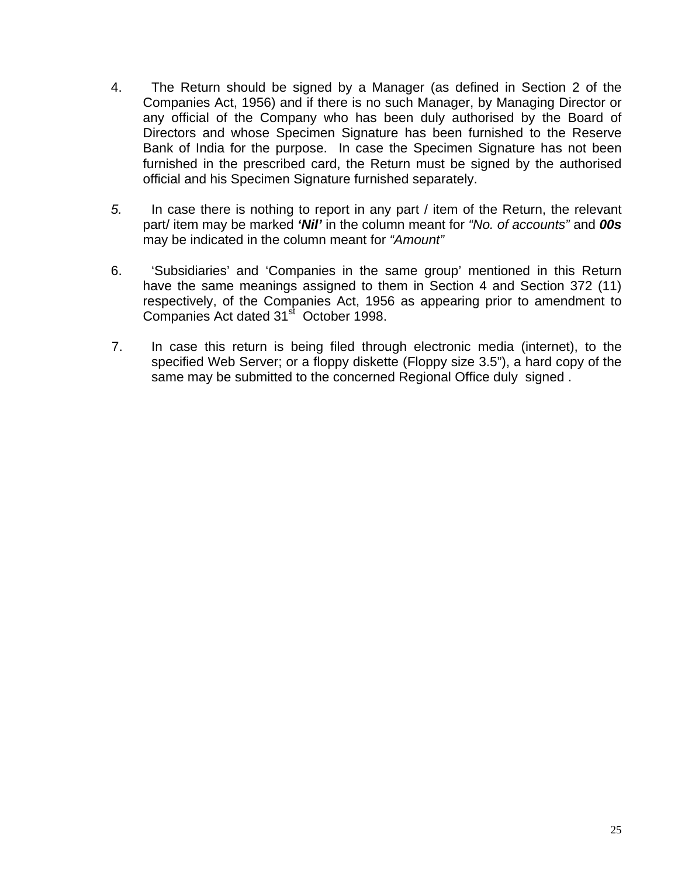- 4. The Return should be signed by a Manager (as defined in Section 2 of the Companies Act, 1956) and if there is no such Manager, by Managing Director or any official of the Company who has been duly authorised by the Board of Directors and whose Specimen Signature has been furnished to the Reserve Bank of India for the purpose. In case the Specimen Signature has not been furnished in the prescribed card, the Return must be signed by the authorised official and his Specimen Signature furnished separately.
- *5.* In case there is nothing to report in any part / item of the Return, the relevant part/ item may be marked *'Nil'* in the column meant for *"No. of accounts"* and *00s* may be indicated in the column meant for *"Amount"*
- 6. 'Subsidiaries' and 'Companies in the same group' mentioned in this Return have the same meanings assigned to them in Section 4 and Section 372 (11) respectively, of the Companies Act, 1956 as appearing prior to amendment to Companies Act dated 31<sup>st</sup> October 1998.
- 7. In case this return is being filed through electronic media (internet), to the specified Web Server; or a floppy diskette (Floppy size 3.5"), a hard copy of the same may be submitted to the concerned Regional Office duly signed.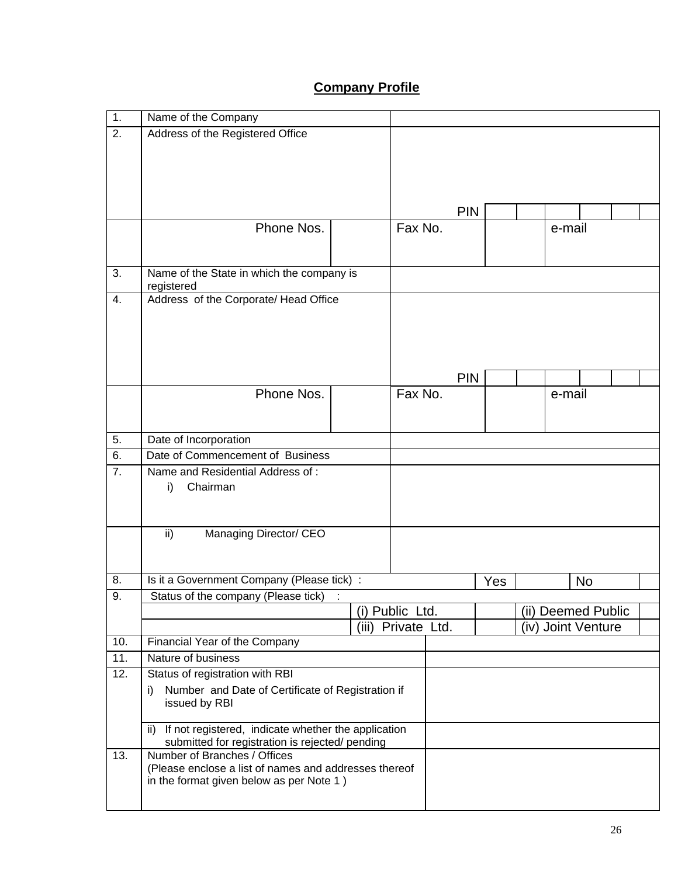# **Company Profile**

| $\overline{1}$ . | Name of the Company                                                             |                    |            |     |                    |    |  |
|------------------|---------------------------------------------------------------------------------|--------------------|------------|-----|--------------------|----|--|
| 2.               | Address of the Registered Office                                                |                    |            |     |                    |    |  |
|                  |                                                                                 |                    |            |     |                    |    |  |
|                  |                                                                                 |                    |            |     |                    |    |  |
|                  |                                                                                 |                    |            |     |                    |    |  |
|                  |                                                                                 |                    |            |     |                    |    |  |
|                  |                                                                                 |                    | <b>PIN</b> |     |                    |    |  |
|                  | Phone Nos.                                                                      | Fax No.            |            |     | e-mail             |    |  |
|                  |                                                                                 |                    |            |     |                    |    |  |
|                  |                                                                                 |                    |            |     |                    |    |  |
| 3.               | Name of the State in which the company is<br>registered                         |                    |            |     |                    |    |  |
| 4.               | Address of the Corporate/ Head Office                                           |                    |            |     |                    |    |  |
|                  |                                                                                 |                    |            |     |                    |    |  |
|                  |                                                                                 |                    |            |     |                    |    |  |
|                  |                                                                                 |                    |            |     |                    |    |  |
|                  |                                                                                 |                    |            |     |                    |    |  |
|                  |                                                                                 |                    | <b>PIN</b> |     |                    |    |  |
|                  | Phone Nos.                                                                      | Fax No.            |            |     | e-mail             |    |  |
|                  |                                                                                 |                    |            |     |                    |    |  |
|                  |                                                                                 |                    |            |     |                    |    |  |
| 5.               | Date of Incorporation                                                           |                    |            |     |                    |    |  |
| 6.               | Date of Commencement of Business                                                |                    |            |     |                    |    |  |
| $\overline{7}$ . | Name and Residential Address of:                                                |                    |            |     |                    |    |  |
|                  | Chairman<br>i)                                                                  |                    |            |     |                    |    |  |
|                  |                                                                                 |                    |            |     |                    |    |  |
|                  |                                                                                 |                    |            |     |                    |    |  |
|                  | ii)<br>Managing Director/ CEO                                                   |                    |            |     |                    |    |  |
|                  |                                                                                 |                    |            |     |                    |    |  |
|                  |                                                                                 |                    |            |     |                    |    |  |
| 8.               | Is it a Government Company (Please tick) :                                      |                    |            | Yes |                    | No |  |
| 9.               | Status of the company (Please tick)                                             | (i) Public Ltd.    |            |     | (ii) Deemed Public |    |  |
|                  |                                                                                 | (iii) Private Ltd. |            |     | (iv) Joint Venture |    |  |
| 10.              | Financial Year of the Company                                                   |                    |            |     |                    |    |  |
| 11.              | Nature of business                                                              |                    |            |     |                    |    |  |
| 12.              | Status of registration with RBI                                                 |                    |            |     |                    |    |  |
|                  | Number and Date of Certificate of Registration if<br>i)                         |                    |            |     |                    |    |  |
|                  | issued by RBI                                                                   |                    |            |     |                    |    |  |
|                  |                                                                                 |                    |            |     |                    |    |  |
|                  | ii) If not registered, indicate whether the application                         |                    |            |     |                    |    |  |
|                  | submitted for registration is rejected/ pending<br>Number of Branches / Offices |                    |            |     |                    |    |  |
| 13.              | (Please enclose a list of names and addresses thereof                           |                    |            |     |                    |    |  |
|                  | in the format given below as per Note 1)                                        |                    |            |     |                    |    |  |
|                  |                                                                                 |                    |            |     |                    |    |  |
|                  |                                                                                 |                    |            |     |                    |    |  |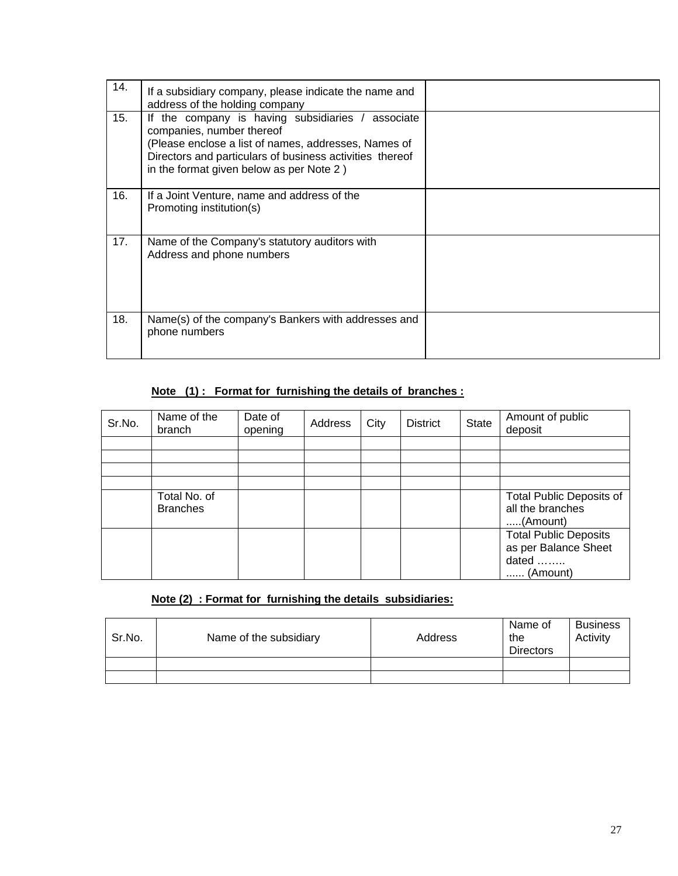| 14. | If a subsidiary company, please indicate the name and<br>address of the holding company                                                                                                                                                        |  |
|-----|------------------------------------------------------------------------------------------------------------------------------------------------------------------------------------------------------------------------------------------------|--|
| 15. | If the company is having subsidiaries / associate<br>companies, number thereof<br>(Please enclose a list of names, addresses, Names of<br>Directors and particulars of business activities thereof<br>in the format given below as per Note 2) |  |
| 16. | If a Joint Venture, name and address of the<br>Promoting institution(s)                                                                                                                                                                        |  |
| 17. | Name of the Company's statutory auditors with<br>Address and phone numbers                                                                                                                                                                     |  |
| 18. | Name(s) of the company's Bankers with addresses and<br>phone numbers                                                                                                                                                                           |  |

# **Note (1) : Format for furnishing the details of branches :**

| Sr.No. | Name of the<br>branch           | Date of<br>opening | Address | City | <b>District</b> | State | Amount of public<br>deposit                                               |
|--------|---------------------------------|--------------------|---------|------|-----------------|-------|---------------------------------------------------------------------------|
|        |                                 |                    |         |      |                 |       |                                                                           |
|        |                                 |                    |         |      |                 |       |                                                                           |
|        |                                 |                    |         |      |                 |       |                                                                           |
|        |                                 |                    |         |      |                 |       |                                                                           |
|        | Total No. of<br><b>Branches</b> |                    |         |      |                 |       | <b>Total Public Deposits of</b><br>all the branches<br>(Amount)           |
|        |                                 |                    |         |      |                 |       | <b>Total Public Deposits</b><br>as per Balance Sheet<br>dated<br>(Amount) |

# **Note (2) : Format for furnishing the details subsidiaries:**

| Sr.No. | Name of the subsidiary | Address | Name of<br>the<br><b>Directors</b> | <b>Business</b><br>Activity |
|--------|------------------------|---------|------------------------------------|-----------------------------|
|        |                        |         |                                    |                             |
|        |                        |         |                                    |                             |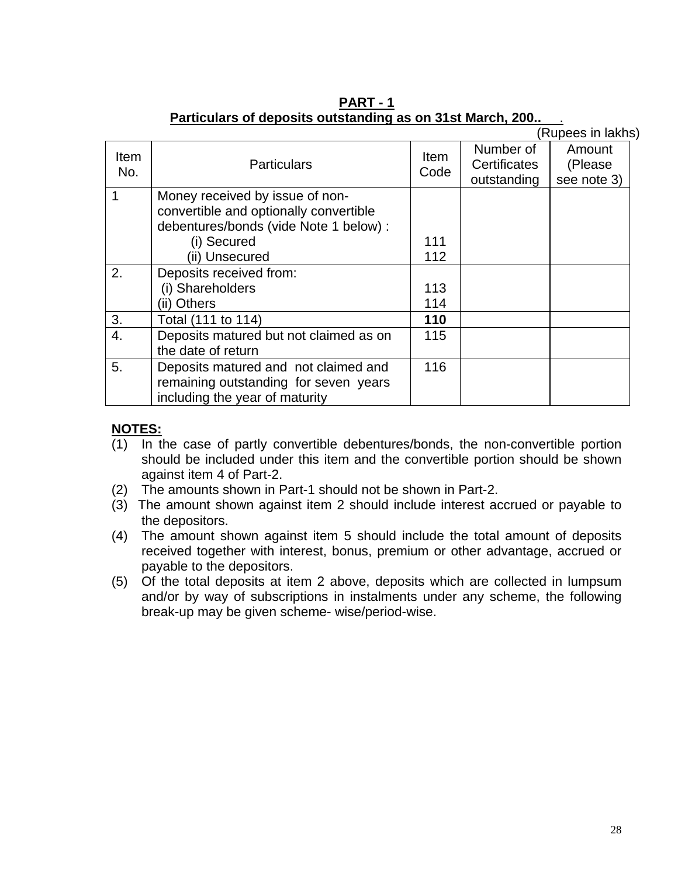|                    |                                                                                                                                    |                     |                                          | (Rupees in lakhs)                |  |
|--------------------|------------------------------------------------------------------------------------------------------------------------------------|---------------------|------------------------------------------|----------------------------------|--|
| <b>Item</b><br>No. | <b>Particulars</b>                                                                                                                 | <b>Item</b><br>Code | Number of<br>Certificates<br>outstanding | Amount<br>(Please<br>see note 3) |  |
| 1                  | Money received by issue of non-<br>convertible and optionally convertible<br>debentures/bonds (vide Note 1 below) :<br>(i) Secured | 111                 |                                          |                                  |  |
|                    | (ii) Unsecured                                                                                                                     | 112                 |                                          |                                  |  |
| 2.                 | Deposits received from:                                                                                                            |                     |                                          |                                  |  |
|                    | (i) Shareholders                                                                                                                   | 113                 |                                          |                                  |  |
|                    | (ii) Others                                                                                                                        | 114                 |                                          |                                  |  |
| 3.                 | Total (111 to 114)                                                                                                                 | 110                 |                                          |                                  |  |
| 4.                 | Deposits matured but not claimed as on<br>the date of return                                                                       | 115                 |                                          |                                  |  |
| 5.                 | Deposits matured and not claimed and<br>remaining outstanding for seven years<br>including the year of maturity                    | 116                 |                                          |                                  |  |

**PART - 1 Particulars of deposits outstanding as on 31st March, 200..** .

- (1) In the case of partly convertible debentures/bonds, the non-convertible portion should be included under this item and the convertible portion should be shown against item 4 of Part-2.
- (2) The amounts shown in Part-1 should not be shown in Part-2.
- (3) The amount shown against item 2 should include interest accrued or payable to the depositors.
- (4) The amount shown against item 5 should include the total amount of deposits received together with interest, bonus, premium or other advantage, accrued or payable to the depositors.
- (5) Of the total deposits at item 2 above, deposits which are collected in lumpsum and/or by way of subscriptions in instalments under any scheme, the following break-up may be given scheme- wise/period-wise.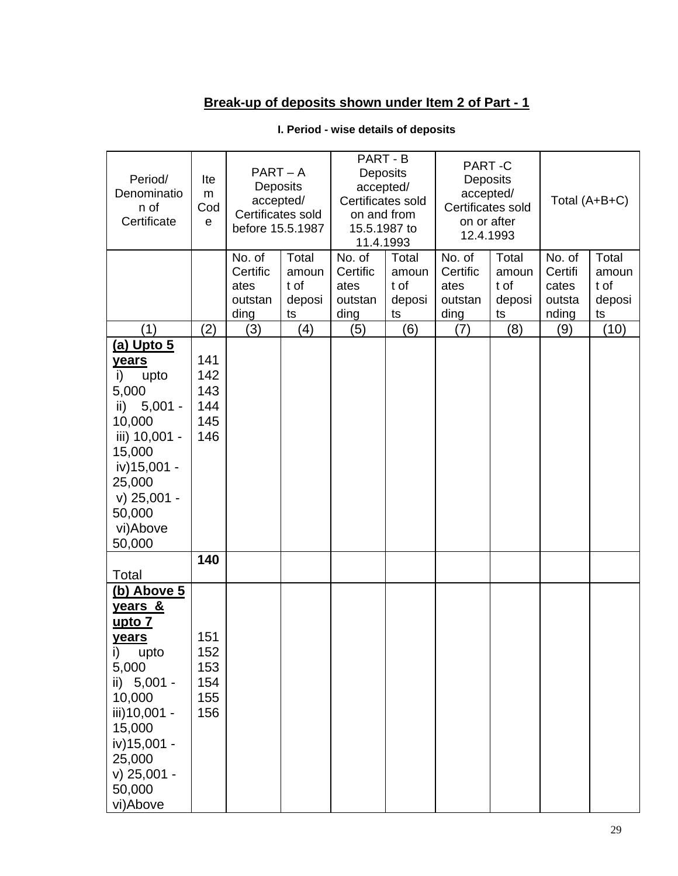# **Break-up of deposits shown under Item 2 of Part - 1**

| Period/<br>Denominatio<br>n of<br>Certificate                                                                                                                                 | Ite<br>m<br>Cod<br>e                   | $PART - A$<br>Deposits<br>accepted/<br>Certificates sold<br>before 15.5.1987 |                                        |                                               | PART - B<br><b>Deposits</b><br>accepted/<br>Certificates sold<br>on and from<br>15.5.1987 to<br>11.4.1993 |                                               | PART-C<br>Deposits<br>accepted/<br>Certificates sold<br>on or after<br>12.4.1993 |                                               | Total (A+B+C)                          |
|-------------------------------------------------------------------------------------------------------------------------------------------------------------------------------|----------------------------------------|------------------------------------------------------------------------------|----------------------------------------|-----------------------------------------------|-----------------------------------------------------------------------------------------------------------|-----------------------------------------------|----------------------------------------------------------------------------------|-----------------------------------------------|----------------------------------------|
|                                                                                                                                                                               |                                        | No. of<br>Certific<br>ates<br>outstan<br>ding                                | Total<br>amoun<br>t of<br>deposi<br>ts | No. of<br>Certific<br>ates<br>outstan<br>ding | Total<br>amoun<br>t of<br>deposi<br>ts                                                                    | No. of<br>Certific<br>ates<br>outstan<br>ding | Total<br>amoun<br>t of<br>deposi<br>ts                                           | No. of<br>Certifi<br>cates<br>outsta<br>nding | Total<br>amoun<br>t of<br>deposi<br>ts |
| (1)                                                                                                                                                                           | (2)                                    | (3)                                                                          | (4)                                    | (5)                                           | (6)                                                                                                       | (7)                                           | (8)                                                                              | (9)                                           | (10)                                   |
| (a) Upto 5<br>years<br>i)<br>upto<br>5,000<br>ii) 5,001 -<br>10,000<br>iii) 10,001 -<br>15,000<br>iv) 15,001 -<br>25,000<br>$v)$ 25,001 -<br>50,000<br>vi)Above<br>50,000     | 141<br>142<br>143<br>144<br>145<br>146 |                                                                              |                                        |                                               |                                                                                                           |                                               |                                                                                  |                                               |                                        |
|                                                                                                                                                                               | 140                                    |                                                                              |                                        |                                               |                                                                                                           |                                               |                                                                                  |                                               |                                        |
| Total<br>(b) Above 5                                                                                                                                                          |                                        |                                                                              |                                        |                                               |                                                                                                           |                                               |                                                                                  |                                               |                                        |
| years &<br><u>upto 7</u><br>years<br>i)<br>upto<br>5,000<br>ii) 5,001 -<br>10,000<br>iii) 10,001 -<br>15,000<br>iv) 15,001 -<br>25,000<br>$v)$ 25,001 -<br>50,000<br>vi)Above | 151<br>152<br>153<br>154<br>155<br>156 |                                                                              |                                        |                                               |                                                                                                           |                                               |                                                                                  |                                               |                                        |

## **I. Period - wise details of deposits**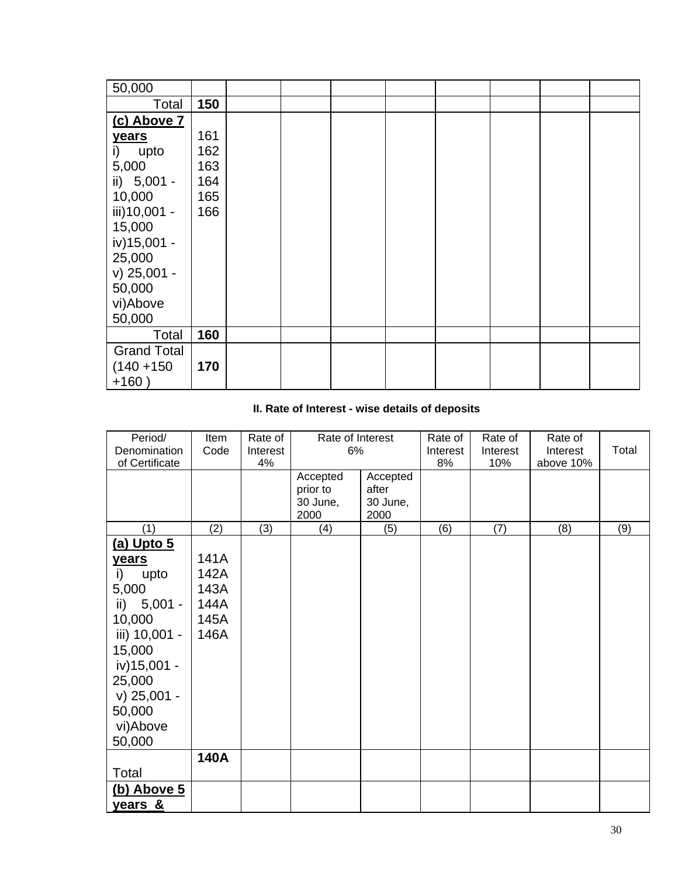| 50,000             |     |  |  |  |  |
|--------------------|-----|--|--|--|--|
| Total              | 150 |  |  |  |  |
| (c) Above 7        |     |  |  |  |  |
| years              | 161 |  |  |  |  |
| i) upto            | 162 |  |  |  |  |
| 5,000              | 163 |  |  |  |  |
| ii) 5,001 -        | 164 |  |  |  |  |
| 10,000             | 165 |  |  |  |  |
| iii) 10,001 -      | 166 |  |  |  |  |
| 15,000             |     |  |  |  |  |
| iv) 15,001 -       |     |  |  |  |  |
| 25,000             |     |  |  |  |  |
| v) 25,001 -        |     |  |  |  |  |
| 50,000             |     |  |  |  |  |
| vi)Above           |     |  |  |  |  |
| 50,000             |     |  |  |  |  |
| Total              | 160 |  |  |  |  |
| <b>Grand Total</b> |     |  |  |  |  |
| $(140 + 150)$      | 170 |  |  |  |  |
| $+160)$            |     |  |  |  |  |

# **II. Rate of Interest - wise details of deposits**

| Period/          | Item        | Rate of  | Rate of Interest |          | Rate of  | Rate of  | Rate of   |       |
|------------------|-------------|----------|------------------|----------|----------|----------|-----------|-------|
| Denomination     | Code        | Interest | 6%               |          | Interest | Interest | Interest  | Total |
| of Certificate   |             | 4%       |                  |          | 8%       | 10%      | above 10% |       |
|                  |             |          | Accepted         | Accepted |          |          |           |       |
|                  |             |          | prior to         | after    |          |          |           |       |
|                  |             |          | 30 June,         | 30 June, |          |          |           |       |
|                  |             |          | 2000             | 2000     |          |          |           |       |
| (1)              | (2)         | (3)      | (4)              | (5)      | (6)      | (7)      | (8)       | (9)   |
| $(a)$ Upto $5$   |             |          |                  |          |          |          |           |       |
| <b>years</b>     | 141A        |          |                  |          |          |          |           |       |
| upto<br>i)       | 142A        |          |                  |          |          |          |           |       |
| 5,000            | 143A        |          |                  |          |          |          |           |       |
| $5,001 -$<br>ii) | 144A        |          |                  |          |          |          |           |       |
| 10,000           | 145A        |          |                  |          |          |          |           |       |
|                  |             |          |                  |          |          |          |           |       |
| iii) 10,001 -    | 146A        |          |                  |          |          |          |           |       |
| 15,000           |             |          |                  |          |          |          |           |       |
| iv) 15,001 -     |             |          |                  |          |          |          |           |       |
| 25,000           |             |          |                  |          |          |          |           |       |
| $v)$ 25,001 -    |             |          |                  |          |          |          |           |       |
| 50,000           |             |          |                  |          |          |          |           |       |
| vi)Above         |             |          |                  |          |          |          |           |       |
|                  |             |          |                  |          |          |          |           |       |
| 50,000           |             |          |                  |          |          |          |           |       |
|                  | <b>140A</b> |          |                  |          |          |          |           |       |
| Total            |             |          |                  |          |          |          |           |       |
| (b) Above 5      |             |          |                  |          |          |          |           |       |
| years &          |             |          |                  |          |          |          |           |       |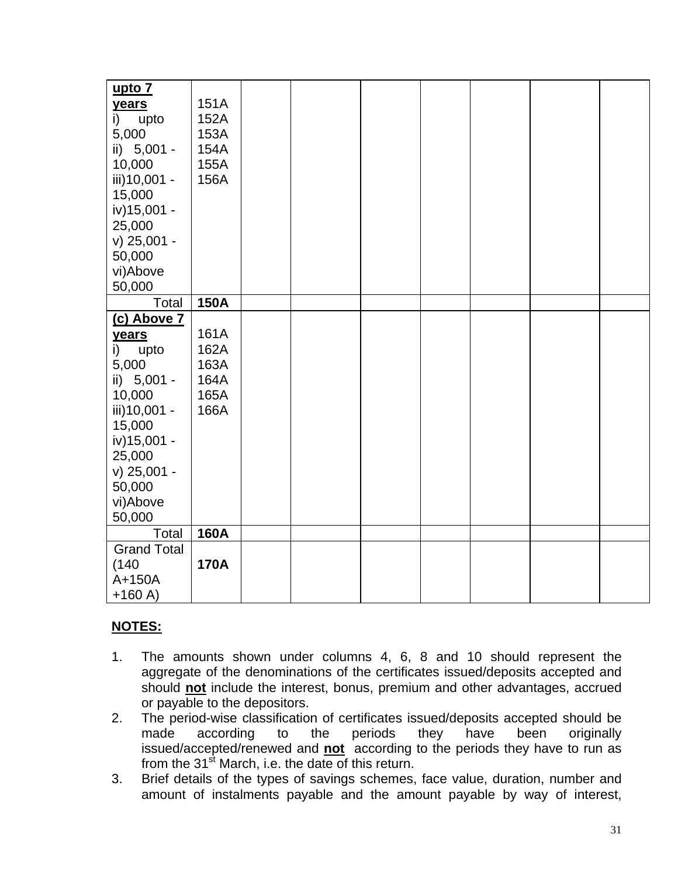| upto 7                       |  |
|------------------------------|--|
| 151A<br>years                |  |
| i)<br>152A<br>upto           |  |
| 153A<br>5,000                |  |
| ii) 5,001 -<br>154A          |  |
| 10,000<br>155A               |  |
| iii)10,001 -<br>156A         |  |
| 15,000                       |  |
| iv) 15,001 -                 |  |
| 25,000                       |  |
| $v)$ 25,001 -                |  |
| 50,000                       |  |
| vi)Above                     |  |
| 50,000                       |  |
| <b>150A</b><br>Total         |  |
| (c) Above 7                  |  |
| 161A<br>years                |  |
| 162A<br>$\mathsf{i}$<br>upto |  |
| 5,000<br>163A                |  |
| ii) 5,001 -<br>164A          |  |
| 10,000<br>165A               |  |
| iii)10,001 -<br>166A         |  |
| 15,000                       |  |
| iv) 15,001 -                 |  |
| 25,000                       |  |
| v) 25,001 -                  |  |
| 50,000                       |  |
| vi)Above                     |  |
| 50,000                       |  |
| <b>160A</b><br>Total         |  |
| <b>Grand Total</b>           |  |
| (140)<br><b>170A</b>         |  |
| A+150A                       |  |
| $+160A)$                     |  |

- 1. The amounts shown under columns 4, 6, 8 and 10 should represent the aggregate of the denominations of the certificates issued/deposits accepted and should **not** include the interest, bonus, premium and other advantages, accrued or payable to the depositors.
- 2. The period-wise classification of certificates issued/deposits accepted should be made according to the periods they have been originally issued/accepted/renewed and **not** according to the periods they have to run as from the  $31<sup>st</sup>$  March, i.e. the date of this return.
- 3. Brief details of the types of savings schemes, face value, duration, number and amount of instalments payable and the amount payable by way of interest,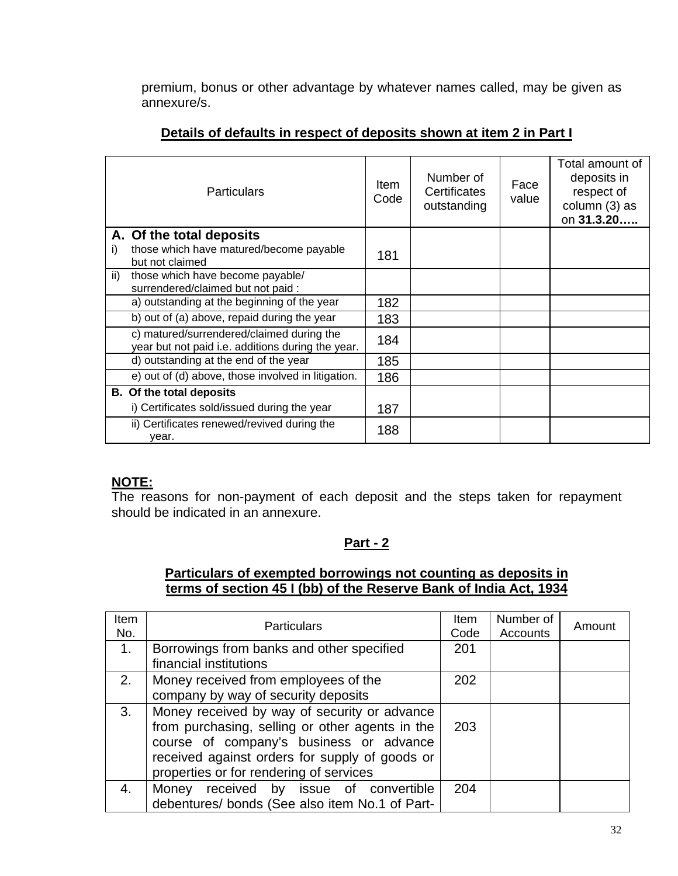premium, bonus or other advantage by whatever names called, may be given as annexure/s.

| <b>Particulars</b>                                                                             | Item<br>Code | Number of<br>Certificates<br>outstanding | Face<br>value | Total amount of<br>deposits in<br>respect of<br>column (3) as<br>on 31.3.20 |
|------------------------------------------------------------------------------------------------|--------------|------------------------------------------|---------------|-----------------------------------------------------------------------------|
| A. Of the total deposits                                                                       |              |                                          |               |                                                                             |
| those which have matured/become payable<br>i)<br>but not claimed                               | 181          |                                          |               |                                                                             |
| $\mathsf{ii}$<br>those which have become payable/<br>surrendered/claimed but not paid :        |              |                                          |               |                                                                             |
| a) outstanding at the beginning of the year                                                    | 182          |                                          |               |                                                                             |
| b) out of (a) above, repaid during the year                                                    | 183          |                                          |               |                                                                             |
| c) matured/surrendered/claimed during the<br>year but not paid i.e. additions during the year. | 184          |                                          |               |                                                                             |
| d) outstanding at the end of the year                                                          | 185          |                                          |               |                                                                             |
| e) out of (d) above, those involved in litigation.                                             | 186          |                                          |               |                                                                             |
| <b>B.</b> Of the total deposits                                                                |              |                                          |               |                                                                             |
| i) Certificates sold/issued during the year                                                    | 187          |                                          |               |                                                                             |
| ii) Certificates renewed/revived during the<br>vear.                                           | 188          |                                          |               |                                                                             |

## **Details of defaults in respect of deposits shown at item 2 in Part I**

### **NOTE:**

The reasons for non-payment of each deposit and the steps taken for repayment should be indicated in an annexure.

# **Part - 2**

# **Particulars of exempted borrowings not counting as deposits in terms of section 45 I (bb) of the Reserve Bank of India Act, 1934**

| <b>Item</b><br>No. | <b>Particulars</b>                                                                                                                                                                                                                      | <b>Item</b><br>Code | Number of<br>Accounts | Amount |
|--------------------|-----------------------------------------------------------------------------------------------------------------------------------------------------------------------------------------------------------------------------------------|---------------------|-----------------------|--------|
| 1.                 | Borrowings from banks and other specified<br>financial institutions                                                                                                                                                                     | 201                 |                       |        |
| 2.                 | Money received from employees of the<br>company by way of security deposits                                                                                                                                                             | 202                 |                       |        |
| 3.                 | Money received by way of security or advance<br>from purchasing, selling or other agents in the<br>course of company's business or advance<br>received against orders for supply of goods or<br>properties or for rendering of services | 203                 |                       |        |
| 4.                 | Money received by issue of convertible<br>debentures/ bonds (See also item No.1 of Part-                                                                                                                                                | 204                 |                       |        |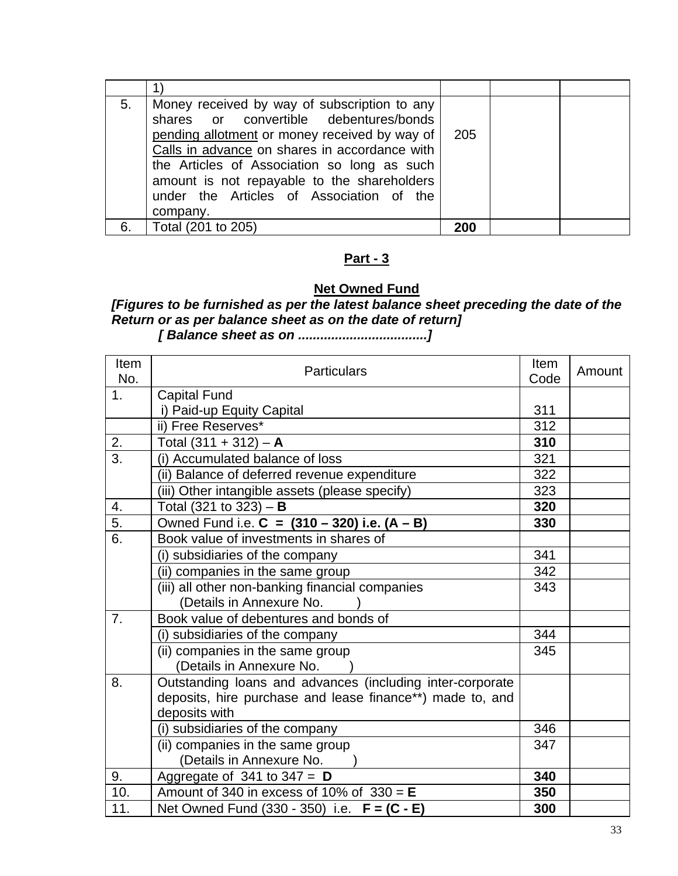| 5. | Money received by way of subscription to any<br>shares or convertible debentures/bonds<br>pending allotment or money received by way of<br>Calls in advance on shares in accordance with<br>the Articles of Association so long as such<br>amount is not repayable to the shareholders<br>under the Articles of Association of the<br>company. | 205 |  |
|----|------------------------------------------------------------------------------------------------------------------------------------------------------------------------------------------------------------------------------------------------------------------------------------------------------------------------------------------------|-----|--|
| 6. | Total (201 to 205)                                                                                                                                                                                                                                                                                                                             | 200 |  |

# **Part - 3**

# **Net Owned Fund**

### *[Figures to be furnished as per the latest balance sheet preceding the date of the Return or as per balance sheet as on the date of return] [ Balance sheet as on ...................................]*

| <b>Item</b><br>No. | <b>Particulars</b>                                        | Item<br>Code | Amount |
|--------------------|-----------------------------------------------------------|--------------|--------|
| 1 <sub>1</sub>     | <b>Capital Fund</b>                                       |              |        |
|                    | i) Paid-up Equity Capital                                 | 311          |        |
|                    | ii) Free Reserves*                                        | 312          |        |
| 2.                 | Total $(311 + 312) - A$                                   | 310          |        |
| 3.                 | (i) Accumulated balance of loss                           | 321          |        |
|                    | (ii) Balance of deferred revenue expenditure              | 322          |        |
|                    | (iii) Other intangible assets (please specify)            | 323          |        |
| 4.                 | Total (321 to 323) $- B$                                  | 320          |        |
| $\overline{5}$ .   | Owned Fund i.e. $C = (310 - 320)$ i.e. $(A - B)$          | 330          |        |
| $\overline{6}$ .   | Book value of investments in shares of                    |              |        |
|                    | (i) subsidiaries of the company                           | 341          |        |
|                    | (ii) companies in the same group                          | 342          |        |
|                    | (iii) all other non-banking financial companies           | 343          |        |
|                    | (Details in Annexure No.                                  |              |        |
| 7.                 | Book value of debentures and bonds of                     |              |        |
|                    | (i) subsidiaries of the company                           | 344          |        |
|                    | (ii) companies in the same group                          | 345          |        |
|                    | (Details in Annexure No.                                  |              |        |
| 8.                 | Outstanding loans and advances (including inter-corporate |              |        |
|                    | deposits, hire purchase and lease finance**) made to, and |              |        |
|                    | deposits with                                             |              |        |
|                    | (i) subsidiaries of the company                           | 346          |        |
|                    | (ii) companies in the same group                          | 347          |        |
|                    | (Details in Annexure No.                                  |              |        |
| 9.                 | Aggregate of 341 to $347 = D$                             | 340          |        |
| 10.                | Amount of 340 in excess of 10% of $330 = E$               | 350          |        |
| 11.                | Net Owned Fund (330 - 350) i.e. F = (C - E)               | 300          |        |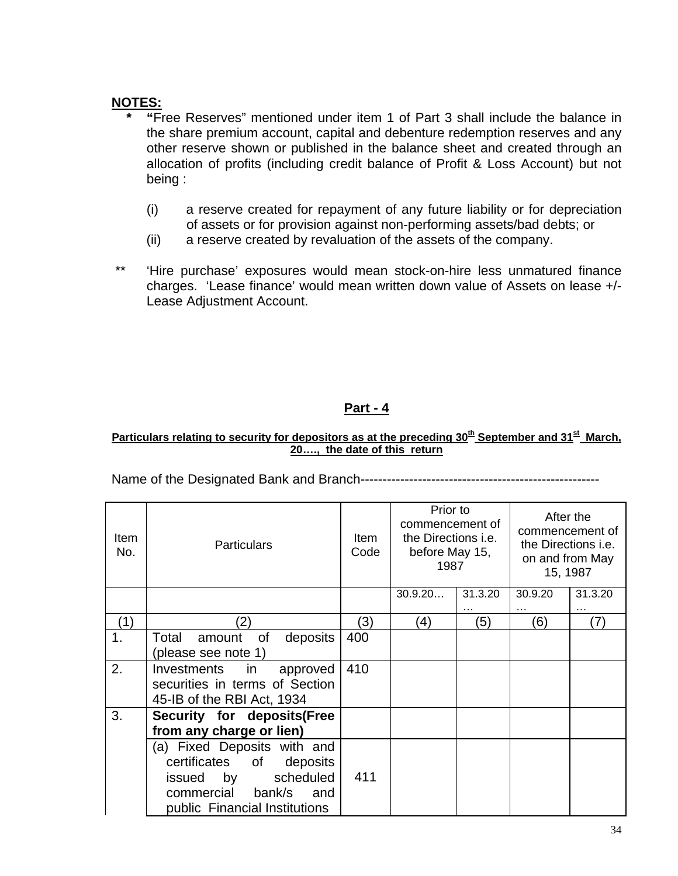- **\* "**Free Reserves" mentioned under item 1 of Part 3 shall include the balance in the share premium account, capital and debenture redemption reserves and any other reserve shown or published in the balance sheet and created through an allocation of profits (including credit balance of Profit & Loss Account) but not being :
	- (i) a reserve created for repayment of any future liability or for depreciation of assets or for provision against non-performing assets/bad debts; or
	- (ii) a reserve created by revaluation of the assets of the company.
- \*\* 'Hire purchase' exposures would mean stock-on-hire less unmatured finance charges. 'Lease finance' would mean written down value of Assets on lease +/- Lease Adjustment Account.

# **Part - 4**

#### Particulars relating to security for depositors as at the preceding 30<sup>th</sup> September and 31<sup>st</sup> March, **20…., the date of this return**

Name of the Designated Bank and Branch------------------------------------------------------

| <b>Item</b><br>No. | <b>Particulars</b>                                                                                                                                      | ltem<br>Code | Prior to<br>commencement of<br>the Directions <i>i.e.</i><br>before May 15,<br>1987 |         | After the<br>commencement of<br>the Directions i.e.<br>on and from May<br>15, 1987 |         |
|--------------------|---------------------------------------------------------------------------------------------------------------------------------------------------------|--------------|-------------------------------------------------------------------------------------|---------|------------------------------------------------------------------------------------|---------|
|                    |                                                                                                                                                         |              | 30.9.20                                                                             | 31.3.20 | 30.9.20                                                                            | 31.3.20 |
|                    |                                                                                                                                                         |              |                                                                                     |         | $\cdots$                                                                           | .       |
| (1)                | 21                                                                                                                                                      | (3)          | (4)                                                                                 | (5)     | (6)                                                                                | (7)     |
| 1.                 | deposits<br>Total<br>of<br>amount<br>(please see note 1)                                                                                                | 400          |                                                                                     |         |                                                                                    |         |
| 2.                 | Investments<br>in<br>approved<br>securities in terms of Section<br>45-IB of the RBI Act, 1934                                                           | 410          |                                                                                     |         |                                                                                    |         |
| 3.                 | Security for deposits(Free<br>from any charge or lien)                                                                                                  |              |                                                                                     |         |                                                                                    |         |
|                    | (a) Fixed Deposits with and<br>certificates<br>of<br>deposits<br>scheduled<br>issued<br>by<br>commercial bank/s<br>and<br>public Financial Institutions | 411          |                                                                                     |         |                                                                                    |         |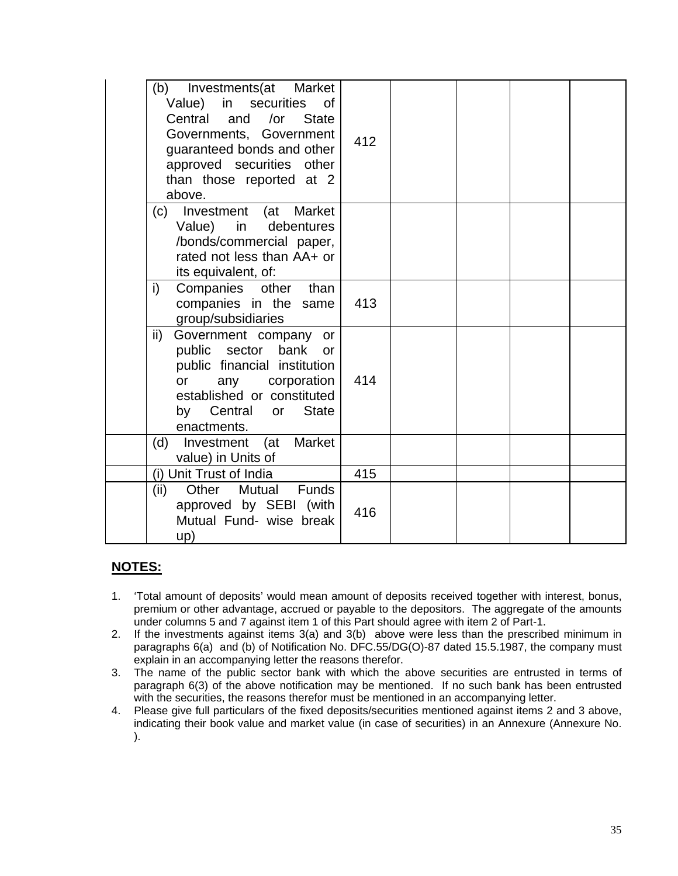| (b) Investments (at Market<br>Value) in securities of<br>Central and /or<br><b>State</b><br>Governments, Government<br>guaranteed bonds and other<br>approved securities other<br>than those reported at 2<br>above. | 412 |  |  |
|----------------------------------------------------------------------------------------------------------------------------------------------------------------------------------------------------------------------|-----|--|--|
| (c) Investment (at Market<br>Value)<br>in<br>debentures<br>/bonds/commercial paper,<br>rated not less than AA+ or<br>its equivalent, of:                                                                             |     |  |  |
| Companies other than<br>i)<br>companies in the same<br>group/subsidiaries                                                                                                                                            | 413 |  |  |
| $\mathsf{ii}$<br>Government company or<br>public sector bank or<br>public financial institution<br>any corporation<br>or<br>established or constituted<br>by Central or State<br>enactments.                         | 414 |  |  |
| Investment (at Market<br>(d)<br>value) in Units of                                                                                                                                                                   |     |  |  |
| (i) Unit Trust of India                                                                                                                                                                                              | 415 |  |  |
| (ii)<br>Other Mutual Funds<br>approved by SEBI (with<br>Mutual Fund- wise break<br>up)                                                                                                                               | 416 |  |  |

- 1. 'Total amount of deposits' would mean amount of deposits received together with interest, bonus, premium or other advantage, accrued or payable to the depositors. The aggregate of the amounts under columns 5 and 7 against item 1 of this Part should agree with item 2 of Part-1.
- 2. If the investments against items 3(a) and 3(b) above were less than the prescribed minimum in paragraphs 6(a) and (b) of Notification No. DFC.55/DG(O)-87 dated 15.5.1987, the company must explain in an accompanying letter the reasons therefor.
- 3. The name of the public sector bank with which the above securities are entrusted in terms of paragraph 6(3) of the above notification may be mentioned. If no such bank has been entrusted with the securities, the reasons therefor must be mentioned in an accompanying letter.
- 4. Please give full particulars of the fixed deposits/securities mentioned against items 2 and 3 above, indicating their book value and market value (in case of securities) in an Annexure (Annexure No. ).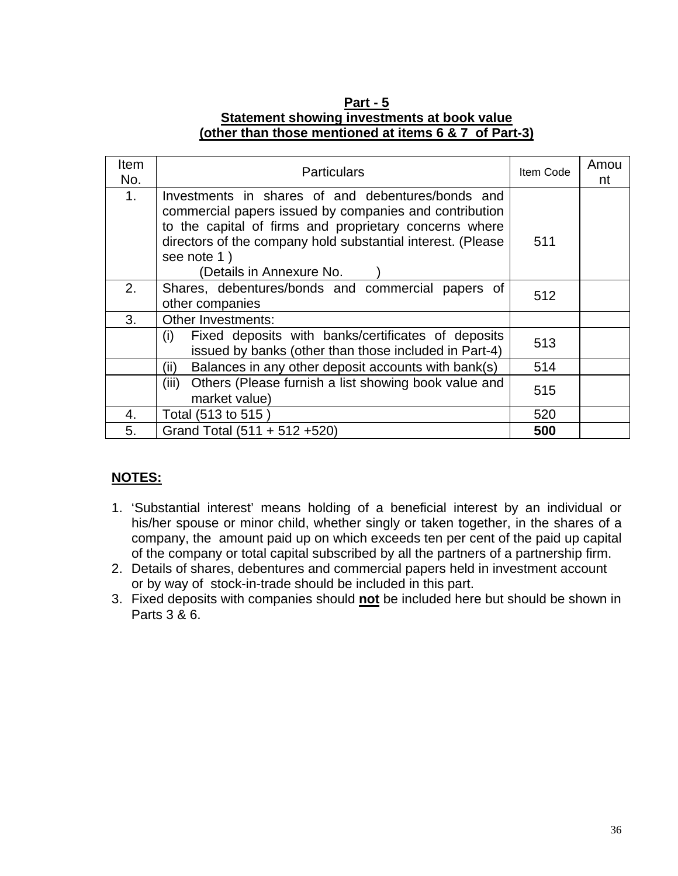## **Part - 5 Statement showing investments at book value (other than those mentioned at items 6 & 7 of Part-3)**

| <b>Item</b><br>No. | <b>Particulars</b>                                                                                                                                                                                                                                                              | Item Code | Amou<br>nt |
|--------------------|---------------------------------------------------------------------------------------------------------------------------------------------------------------------------------------------------------------------------------------------------------------------------------|-----------|------------|
| 1 <sub>1</sub>     | Investments in shares of and debentures/bonds and<br>commercial papers issued by companies and contribution<br>to the capital of firms and proprietary concerns where<br>directors of the company hold substantial interest. (Please<br>see note 1)<br>(Details in Annexure No. | 511       |            |
| 2.                 | Shares, debentures/bonds and commercial papers of<br>other companies                                                                                                                                                                                                            | 512       |            |
| 3.                 | Other Investments:                                                                                                                                                                                                                                                              |           |            |
|                    | Fixed deposits with banks/certificates of deposits<br>(i)<br>issued by banks (other than those included in Part-4)                                                                                                                                                              | 513       |            |
|                    | Balances in any other deposit accounts with bank(s)<br>(ii)                                                                                                                                                                                                                     | 514       |            |
|                    | Others (Please furnish a list showing book value and<br>(iii)<br>market value)                                                                                                                                                                                                  | 515       |            |
| 4.                 | Total (513 to 515)                                                                                                                                                                                                                                                              | 520       |            |
| 5.                 | Grand Total (511 + 512 +520)                                                                                                                                                                                                                                                    | 500       |            |

- 1. 'Substantial interest' means holding of a beneficial interest by an individual or his/her spouse or minor child, whether singly or taken together, in the shares of a company, the amount paid up on which exceeds ten per cent of the paid up capital of the company or total capital subscribed by all the partners of a partnership firm.
- 2. Details of shares, debentures and commercial papers held in investment account or by way of stock-in-trade should be included in this part.
- 3. Fixed deposits with companies should **not** be included here but should be shown in Parts 3 & 6.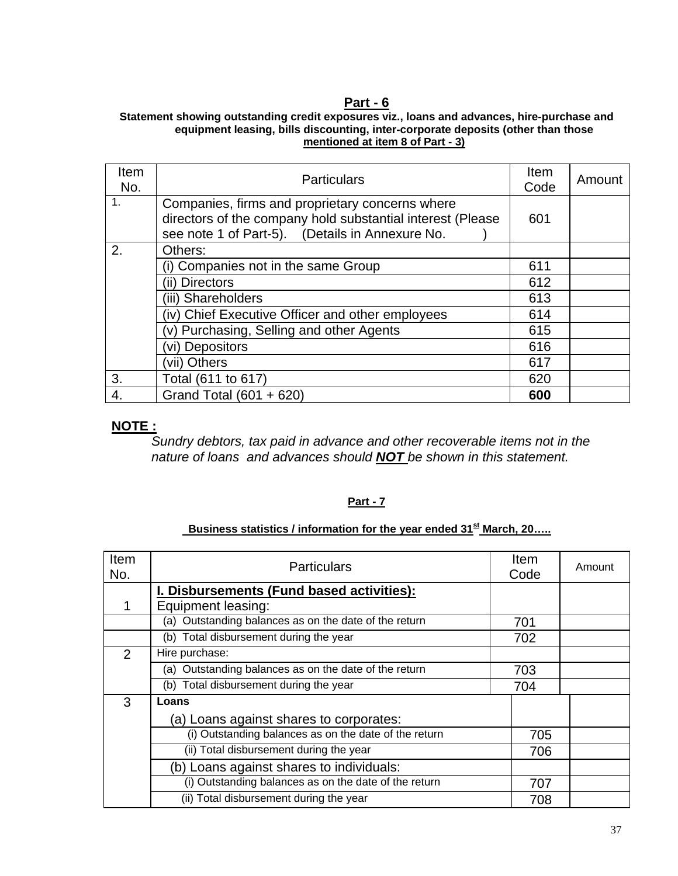### **Part - 6**

#### **Statement showing outstanding credit exposures viz., loans and advances, hire-purchase and equipment leasing, bills discounting, inter-corporate deposits (other than those mentioned at item 8 of Part - 3)**

| Item<br>No.    | <b>Particulars</b>                                                                                                                                               | <b>Item</b><br>Code | Amount |
|----------------|------------------------------------------------------------------------------------------------------------------------------------------------------------------|---------------------|--------|
| $\mathbf{1}$ . | Companies, firms and proprietary concerns where<br>directors of the company hold substantial interest (Please<br>see note 1 of Part-5). (Details in Annexure No. | 601                 |        |
| 2.             | Others:                                                                                                                                                          |                     |        |
|                | (i) Companies not in the same Group                                                                                                                              | 611                 |        |
|                | (ii) Directors                                                                                                                                                   | 612                 |        |
|                | (iii) Shareholders                                                                                                                                               | 613                 |        |
|                | (iv) Chief Executive Officer and other employees                                                                                                                 | 614                 |        |
|                | (v) Purchasing, Selling and other Agents                                                                                                                         | 615                 |        |
|                | vi) Depositors                                                                                                                                                   | 616                 |        |
|                | (vii) Others                                                                                                                                                     | 617                 |        |
| 3.             | Total (611 to 617)                                                                                                                                               | 620                 |        |
| 4.             | Grand Total (601 + 620)                                                                                                                                          | 600                 |        |

### **NOTE :**

*Sundry debtors, tax paid in advance and other recoverable items not in the nature of loans and advances should NOT be shown in this statement.* 

#### **Part - 7**

## **Business statistics / information for the year ended 31<sup>st</sup> March, 20.....**

| Item<br>No.    | <b>Particulars</b>                                    |     | Amount |
|----------------|-------------------------------------------------------|-----|--------|
|                | I. Disbursements (Fund based activities):             |     |        |
|                | Equipment leasing:                                    |     |        |
|                | (a) Outstanding balances as on the date of the return | 701 |        |
|                | Total disbursement during the year<br>(b)             | 702 |        |
| $\overline{2}$ | Hire purchase:                                        |     |        |
|                | (a) Outstanding balances as on the date of the return | 703 |        |
|                | (b) Total disbursement during the year<br>704         |     |        |
| 3              | Loans                                                 |     |        |
|                | (a) Loans against shares to corporates:               |     |        |
|                | (i) Outstanding balances as on the date of the return | 705 |        |
|                | (ii) Total disbursement during the year               |     |        |
|                | (b) Loans against shares to individuals:              |     |        |
|                | (i) Outstanding balances as on the date of the return | 707 |        |
|                | (ii) Total disbursement during the year               | 708 |        |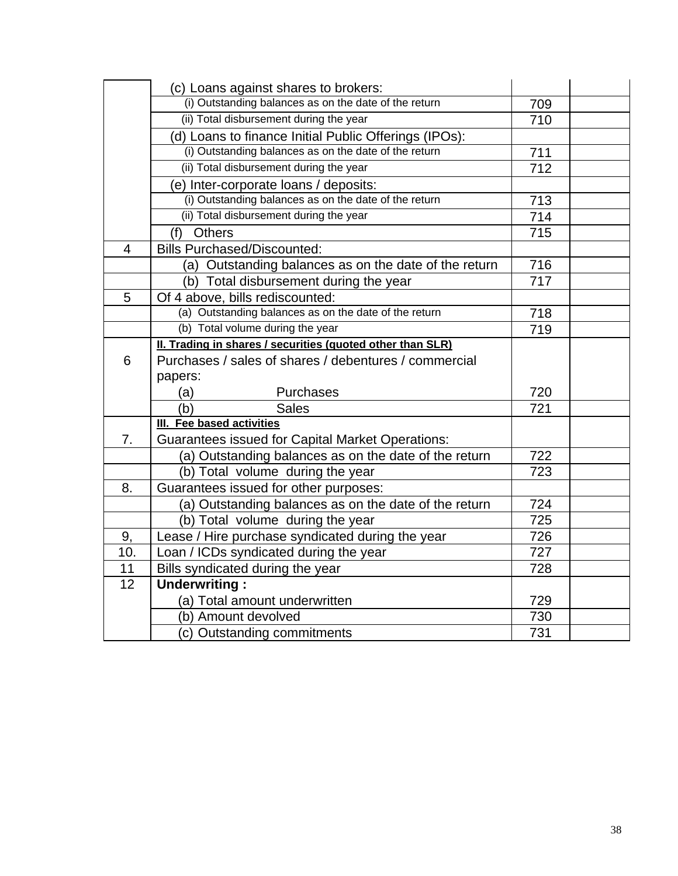|                | (c) Loans against shares to brokers:                       |                  |  |
|----------------|------------------------------------------------------------|------------------|--|
|                | (i) Outstanding balances as on the date of the return      | 709              |  |
|                | (ii) Total disbursement during the year                    | $\overline{710}$ |  |
|                | (d) Loans to finance Initial Public Offerings (IPOs):      |                  |  |
|                | (i) Outstanding balances as on the date of the return      | 711              |  |
|                | (ii) Total disbursement during the year                    | 712              |  |
|                | (e) Inter-corporate loans / deposits:                      |                  |  |
|                | (i) Outstanding balances as on the date of the return      | 713              |  |
|                | (ii) Total disbursement during the year                    | 714              |  |
|                | <b>Others</b><br>(f)                                       | 715              |  |
| $\overline{4}$ | <b>Bills Purchased/Discounted:</b>                         |                  |  |
|                | (a) Outstanding balances as on the date of the return      | 716              |  |
|                | (b) Total disbursement during the year                     | 717              |  |
| 5              | Of 4 above, bills rediscounted:                            |                  |  |
|                | (a) Outstanding balances as on the date of the return      | 718              |  |
|                | (b) Total volume during the year                           | 719              |  |
|                | II. Trading in shares / securities (quoted other than SLR) |                  |  |
| 6              | Purchases / sales of shares / debentures / commercial      |                  |  |
|                | papers:                                                    |                  |  |
|                | (a)<br>Purchases                                           | 720              |  |
|                | (b)<br><b>Sales</b>                                        | 721              |  |
|                | III. Fee based activities                                  |                  |  |
| 7.             | <b>Guarantees issued for Capital Market Operations:</b>    |                  |  |
|                | (a) Outstanding balances as on the date of the return      | 722              |  |
|                | (b) Total volume during the year                           | 723              |  |
| 8.             | Guarantees issued for other purposes:                      |                  |  |
|                | (a) Outstanding balances as on the date of the return      | 724              |  |
|                | (b) Total volume during the year                           | 725              |  |
| 9,             | Lease / Hire purchase syndicated during the year           | 726              |  |
| 10.            | Loan / ICDs syndicated during the year                     | 727              |  |
| 11             | Bills syndicated during the year                           | 728              |  |
| 12             | <b>Underwriting:</b>                                       |                  |  |
|                | (a) Total amount underwritten                              | 729              |  |
|                | (b) Amount devolved                                        | 730              |  |
|                | (c) Outstanding commitments                                | 731              |  |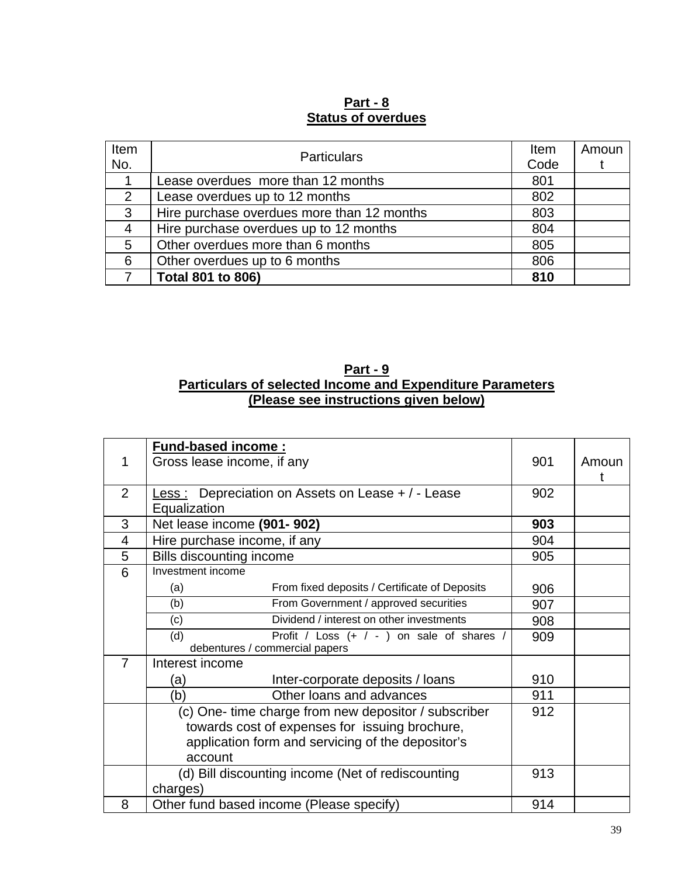# **Part - 8 Status of overdues**

| Item | <b>Particulars</b>                         |      | Amoun |
|------|--------------------------------------------|------|-------|
| No.  |                                            | Code |       |
|      | Lease overdues more than 12 months         | 801  |       |
| 2    | Lease overdues up to 12 months             | 802  |       |
| 3    | Hire purchase overdues more than 12 months | 803  |       |
| 4    | Hire purchase overdues up to 12 months     | 804  |       |
| 5    | Other overdues more than 6 months          | 805  |       |
| 6    | Other overdues up to 6 months              | 806  |       |
|      | Total 801 to 806)                          | 810  |       |

## **Part - 9 Particulars of selected Income and Expenditure Parameters (Please see instructions given below)**

|                | <b>Fund-based income:</b>                            |     |       |
|----------------|------------------------------------------------------|-----|-------|
| 1              | Gross lease income, if any                           | 901 | Amoun |
|                |                                                      |     |       |
| $\overline{2}$ | Less: Depreciation on Assets on Lease + / - Lease    | 902 |       |
|                | Equalization                                         |     |       |
| 3              | Net lease income (901-902)                           | 903 |       |
| 4              | Hire purchase income, if any                         | 904 |       |
| 5              | <b>Bills discounting income</b>                      | 905 |       |
| 6              | Investment income                                    |     |       |
|                | From fixed deposits / Certificate of Deposits<br>(a) | 906 |       |
|                | From Government / approved securities<br>(b)         | 907 |       |
|                | Dividend / interest on other investments<br>(c)      | 908 |       |
|                | Profit / Loss (+ / - ) on sale of shares /<br>(d)    | 909 |       |
|                | debentures / commercial papers                       |     |       |
| $\overline{7}$ | Interest income                                      |     |       |
|                | Inter-corporate deposits / loans<br>(a)              | 910 |       |
|                | Other loans and advances<br>(b)                      | 911 |       |
|                | (c) One- time charge from new depositor / subscriber | 912 |       |
|                | towards cost of expenses for issuing brochure,       |     |       |
|                | application form and servicing of the depositor's    |     |       |
|                | account                                              |     |       |
|                | (d) Bill discounting income (Net of rediscounting    | 913 |       |
|                | charges)                                             |     |       |
| 8              | Other fund based income (Please specify)             | 914 |       |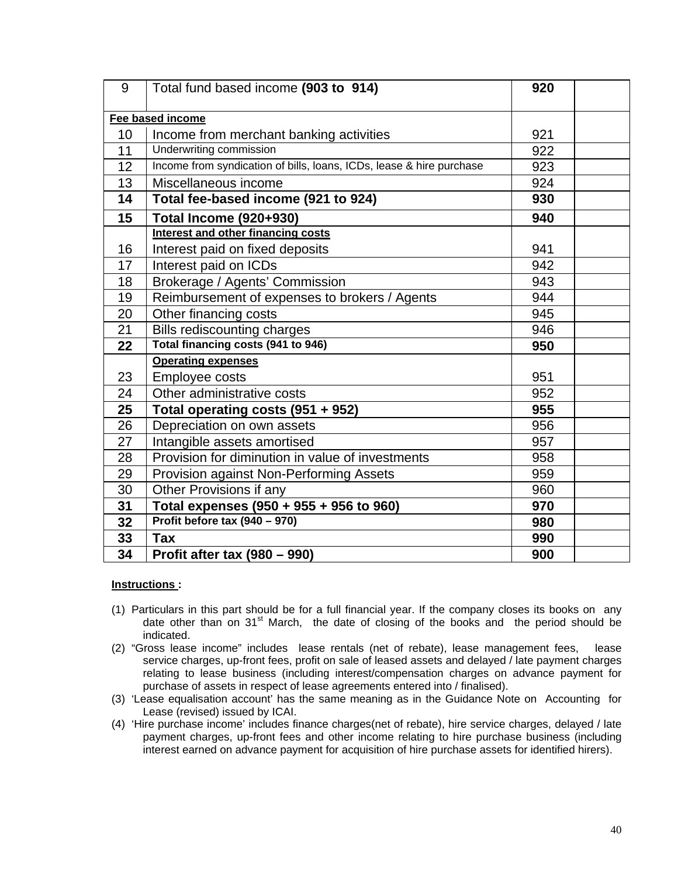| 9               | Total fund based income (903 to 914)                                 | 920 |  |
|-----------------|----------------------------------------------------------------------|-----|--|
|                 | Fee based income                                                     |     |  |
| 10 <sup>1</sup> | Income from merchant banking activities                              | 921 |  |
| 11              | Underwriting commission                                              | 922 |  |
| 12              | Income from syndication of bills, loans, ICDs, lease & hire purchase | 923 |  |
| 13              | Miscellaneous income                                                 | 924 |  |
| 14              | Total fee-based income (921 to 924)                                  | 930 |  |
| 15              | <b>Total Income (920+930)</b>                                        | 940 |  |
|                 | Interest and other financing costs                                   |     |  |
| 16              | Interest paid on fixed deposits                                      | 941 |  |
| 17              | Interest paid on ICDs                                                | 942 |  |
| 18              | Brokerage / Agents' Commission                                       | 943 |  |
| 19              | Reimbursement of expenses to brokers / Agents                        | 944 |  |
| 20              | Other financing costs                                                | 945 |  |
| 21              | Bills rediscounting charges                                          | 946 |  |
| 22              | Total financing costs (941 to 946)                                   | 950 |  |
|                 | <b>Operating expenses</b>                                            |     |  |
| 23              | Employee costs                                                       | 951 |  |
| 24              | Other administrative costs                                           | 952 |  |
| 25              | Total operating costs (951 + 952)                                    | 955 |  |
| 26              | Depreciation on own assets                                           | 956 |  |
| 27              | Intangible assets amortised                                          | 957 |  |
| 28              | Provision for diminution in value of investments                     | 958 |  |
| 29              | Provision against Non-Performing Assets                              | 959 |  |
| 30              | Other Provisions if any                                              | 960 |  |
| 31              | Total expenses (950 + 955 + 956 to 960)                              | 970 |  |
| 32              | Profit before tax (940 - 970)                                        | 980 |  |
| 33              | <b>Tax</b>                                                           | 990 |  |
| 34              | Profit after tax $(980 - 990)$                                       | 900 |  |

#### **Instructions :**

- (1) Particulars in this part should be for a full financial year. If the company closes its books on any date other than on  $31<sup>st</sup>$  March, the date of closing of the books and the period should be indicated.
- (2) "Gross lease income" includes lease rentals (net of rebate), lease management fees, lease service charges, up-front fees, profit on sale of leased assets and delayed / late payment charges relating to lease business (including interest/compensation charges on advance payment for purchase of assets in respect of lease agreements entered into / finalised).
- (3) 'Lease equalisation account' has the same meaning as in the Guidance Note on Accounting for Lease (revised) issued by ICAI.
- (4) 'Hire purchase income' includes finance charges(net of rebate), hire service charges, delayed / late payment charges, up-front fees and other income relating to hire purchase business (including interest earned on advance payment for acquisition of hire purchase assets for identified hirers).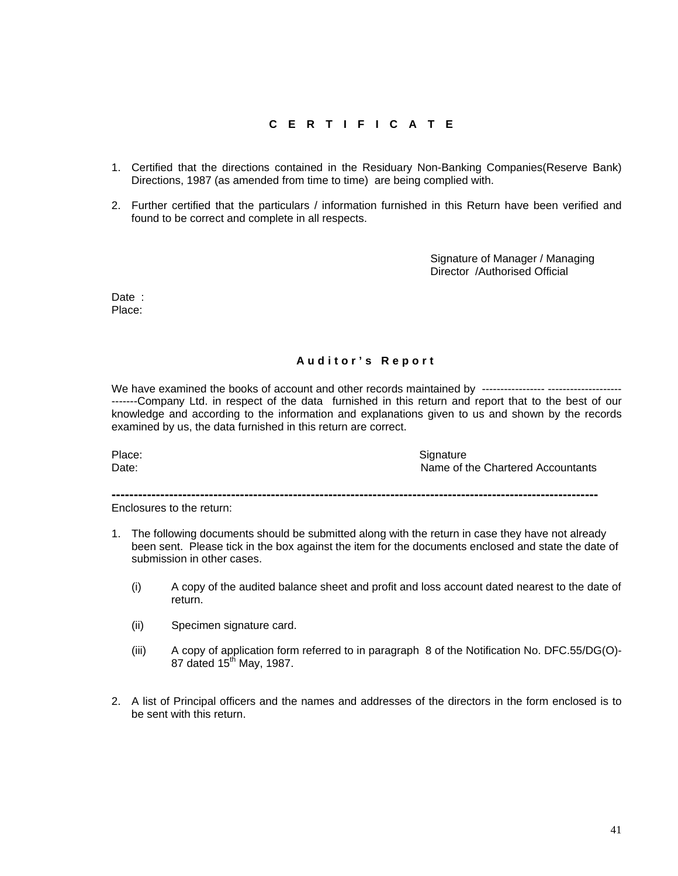#### **CERTIFICATE**

- 1. Certified that the directions contained in the Residuary Non-Banking Companies(Reserve Bank) Directions, 1987 (as amended from time to time) are being complied with.
- 2. Further certified that the particulars / information furnished in this Return have been verified and found to be correct and complete in all respects.

Signature of Manager / Managing Director /Authorised Official

Date : Place:

#### **Auditor's Report**

We have examined the books of account and other records maintained by ----------------- -------------------- -------Company Ltd. in respect of the data furnished in this return and report that to the best of our knowledge and according to the information and explanations given to us and shown by the records examined by us, the data furnished in this return are correct.

Place: Signature Signature Date: **Name of the Chartered Accountants** 

**--------------------------------------------------------------------------------------------------------------** 

Enclosures to the return:

- 1. The following documents should be submitted along with the return in case they have not already been sent. Please tick in the box against the item for the documents enclosed and state the date of submission in other cases.
	- (i) A copy of the audited balance sheet and profit and loss account dated nearest to the date of return.
	- (ii) Specimen signature card.
	- (iii) A copy of application form referred to in paragraph 8 of the Notification No. DFC.55/DG(O)- 87 dated 15<sup>th</sup> May, 1987.
- 2. A list of Principal officers and the names and addresses of the directors in the form enclosed is to be sent with this return.